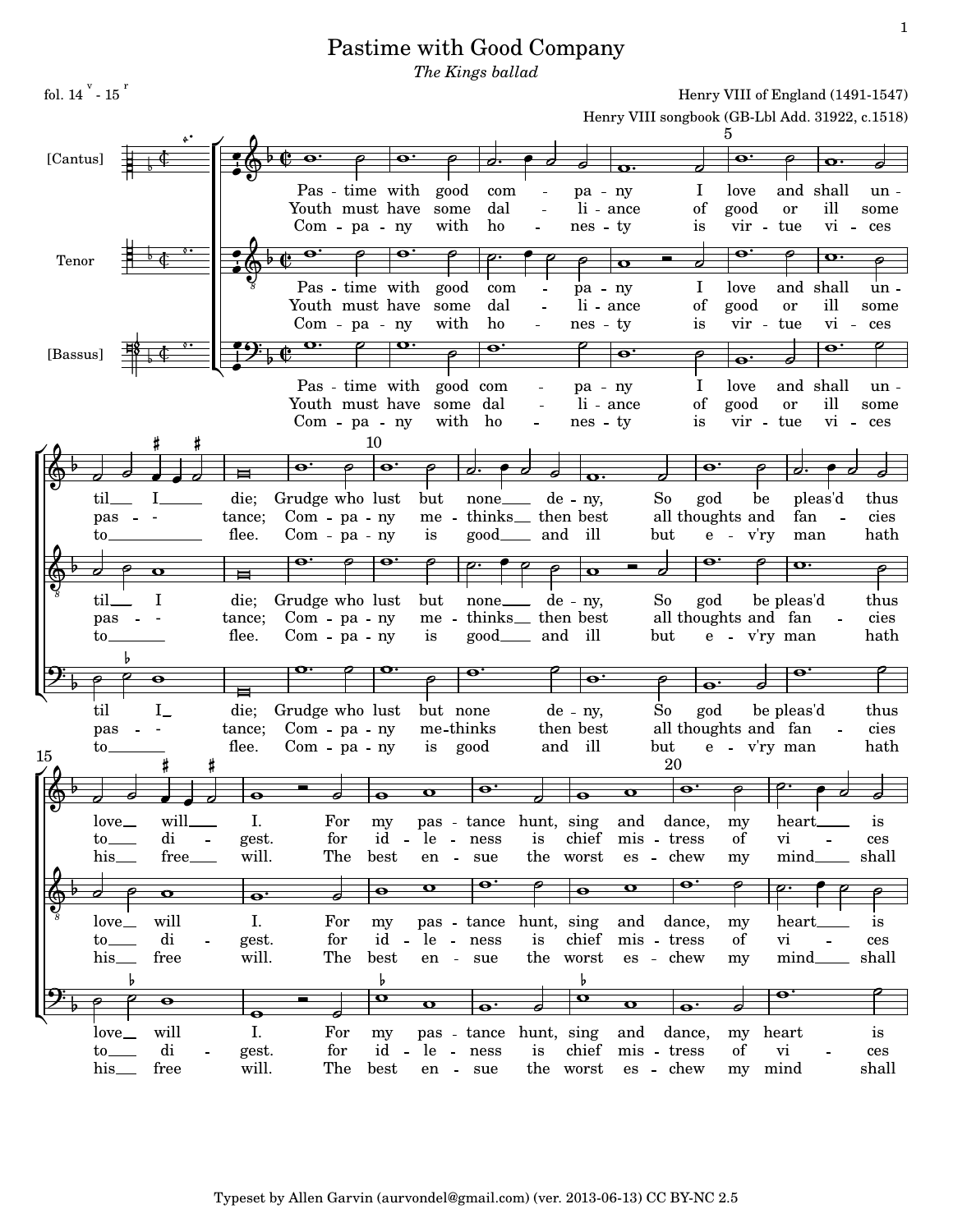## Pastime with Good Company

The Kings ballad

|          |                      |                  |                           |                     |                   |                                       |                           |                             |                      |                  |                                                 | Henry VIII of England $(1491-1047)$ |                                  |                        |                          |              |
|----------|----------------------|------------------|---------------------------|---------------------|-------------------|---------------------------------------|---------------------------|-----------------------------|----------------------|------------------|-------------------------------------------------|-------------------------------------|----------------------------------|------------------------|--------------------------|--------------|
|          |                      |                  |                           |                     |                   |                                       |                           |                             |                      |                  | Henry VIII songbook (GB-Lbl Add. 31922, c.1518) |                                     |                                  |                        |                          |              |
|          |                      |                  |                           |                     |                   |                                       |                           |                             |                      |                  |                                                 |                                     |                                  |                        |                          |              |
| [Cantus] |                      |                  |                           |                     |                   |                                       |                           |                             |                      |                  |                                                 | $\bullet$                           |                                  |                        |                          |              |
|          |                      |                  |                           |                     |                   | good                                  |                           |                             |                      |                  |                                                 |                                     |                                  |                        |                          |              |
|          |                      |                  |                           | Youth must have     | Pas - time with   | some                                  | com<br>dal                | $\equiv$                    | $pa - ny$            | li - ance        | $\mathbf{I}$<br>of                              | love<br>good                        |                                  | and shall<br><b>or</b> | ill                      | un -         |
|          |                      |                  |                           |                     |                   | with                                  | ho                        |                             |                      |                  | is                                              |                                     | $vir$ -                          | tue                    | $vi -$                   | some         |
|          |                      |                  |                           |                     | $Com - pa - ny$   |                                       |                           | $\overline{\phantom{a}}$    | nes - ty             |                  |                                                 |                                     |                                  |                        |                          | ces          |
| Tenor    |                      |                  |                           | $\mathbf{\Theta}$   | $\mathbf{\Theta}$ |                                       |                           |                             |                      |                  |                                                 | $\mathbf{e}$                        |                                  |                        | $\mathbf{o} \cdot$       |              |
|          |                      |                  |                           |                     |                   |                                       |                           |                             |                      | o                |                                                 |                                     |                                  |                        |                          |              |
|          |                      |                  |                           |                     | Pas - time with   | good                                  | com                       |                             | pa - ny              |                  |                                                 | Ι<br>love                           |                                  | and shall              |                          | un -         |
|          |                      |                  |                           | Youth must have     |                   | some                                  | dal                       |                             |                      | li - ance        | of                                              | good                                |                                  | or                     | ill                      | some         |
|          |                      |                  |                           |                     | $Com - pa - ny$   | with                                  | ho                        | $\overline{\phantom{a}}$    | nes - ty             |                  | is                                              |                                     | vir - tue                        |                        | vi - ces                 |              |
| [Bassus] |                      |                  |                           |                     |                   | $\mathbf{o} \cdot$                    | $\overline{\mathbf{e}}$   |                             |                      | $\bullet$        |                                                 |                                     |                                  |                        | o.                       |              |
|          |                      |                  |                           |                     |                   |                                       |                           |                             |                      |                  |                                                 | $\overline{\mathbf{e}}$             |                                  |                        |                          |              |
|          |                      |                  |                           |                     | Pas - time with   |                                       | good com                  |                             | $pa - ny$            |                  |                                                 | love                                |                                  | and shall              |                          | un -         |
|          |                      |                  |                           | Youth must have     |                   | some                                  | dal                       |                             |                      | li - ance        | of                                              | good                                |                                  | <b>or</b>              | ill                      | some         |
|          |                      |                  |                           |                     | Com - pa - ny     | with ho                               |                           |                             | $nes - ty$           |                  | is                                              |                                     | vir - tue                        |                        | vi - ces                 |              |
|          |                      |                  |                           |                     | 10                |                                       |                           |                             |                      |                  |                                                 |                                     |                                  |                        |                          |              |
|          |                      |                  |                           |                     |                   |                                       |                           |                             |                      |                  |                                                 |                                     |                                  |                        |                          |              |
|          |                      |                  |                           | o.                  | o.                |                                       |                           |                             |                      |                  |                                                 | o.                                  |                                  |                        |                          |              |
|          | til.                 |                  | die;                      | Grudge who lust     |                   | but                                   |                           | none de - ny,               |                      |                  | So                                              | god                                 | be                               | pleas'd                |                          | thus         |
|          | pas                  |                  | tance;                    | $Com - pa - ny$     |                   | me -                                  |                           | thinks <sub>then</sub> best |                      |                  | all thoughts and                                |                                     |                                  | fan                    | $\overline{\phantom{a}}$ | cies         |
|          | to.                  |                  | flee.                     | Com - pa - ny       |                   | <i>is</i>                             |                           | good <sub>—</sub> and       | ill                  |                  | but                                             | $e - v'ry$                          |                                  | man                    |                          | hath         |
|          |                      |                  |                           |                     |                   |                                       |                           |                             |                      |                  |                                                 |                                     |                                  |                        |                          |              |
|          |                      | o                | ⊨                         | $\mathbf{e}$ :      |                   |                                       |                           |                             | $\mathbf \sigma$     |                  |                                                 |                                     |                                  | $\mathbf{o} \cdot$     |                          |              |
|          |                      |                  |                           |                     |                   |                                       |                           |                             |                      |                  |                                                 |                                     |                                  |                        |                          |              |
|          | til.                 | I                | die;                      | Grudge who lust     |                   | but                                   | none de - ny,             |                             |                      |                  | So                                              | god                                 |                                  | be pleas'd             |                          | thus         |
|          |                      |                  |                           |                     |                   |                                       |                           |                             |                      |                  |                                                 |                                     |                                  |                        |                          |              |
|          | pas                  |                  | tance;                    | $Com$ - $pa$ - $ny$ |                   | me - thinks <sub>then</sub> then best |                           |                             |                      |                  | all thoughts and fan                            |                                     |                                  |                        |                          | cies         |
|          | to.                  |                  | flee.                     | $Com - pa - ny$     |                   | is                                    | $good$ <sub>____</sub>    | and                         | ill                  |                  | but                                             |                                     | e - v'ry man                     |                        |                          | hath         |
|          |                      |                  |                           |                     |                   |                                       |                           |                             |                      |                  |                                                 |                                     |                                  |                        |                          |              |
|          |                      | ө                |                           | þ                   |                   |                                       |                           |                             | o.                   |                  |                                                 |                                     |                                  |                        |                          |              |
|          |                      |                  |                           |                     |                   |                                       |                           |                             |                      |                  |                                                 | $\overline{\mathbf{e}}$             |                                  |                        |                          |              |
|          | til                  | $I_{-}$          | die;                      | Grudge who lust     |                   | but none                              |                           |                             | $de - ny$ ,          |                  | So                                              | god                                 |                                  | be pleas'd             |                          | thus         |
|          | pas                  |                  | tance;                    | $Com$ - $pa$ - $ny$ |                   | me-thinks                             |                           |                             | then best            |                  | all thoughts and fan                            |                                     |                                  |                        |                          | cies         |
| 15       | to.                  |                  | flee.                     | $Com - pa - ny$     |                   | is                                    | good                      | and                         | ill                  |                  | but                                             |                                     | e - v'ry man                     |                        |                          | hath         |
|          |                      |                  |                           |                     |                   |                                       |                           |                             |                      |                  | 20                                              |                                     |                                  |                        |                          |              |
|          |                      |                  | $\bullet$                 |                     | $\bullet$         |                                       | $\overline{\mathbf{e}}$ . |                             | $\bullet$            |                  |                                                 |                                     | $\overline{\boldsymbol{\sigma}}$ |                        |                          | o            |
|          |                      |                  | $\boldsymbol{\sigma}$     |                     |                   |                                       |                           |                             |                      |                  |                                                 |                                     |                                  |                        |                          |              |
|          | $love$ <sub>—</sub>  | will_____        | I.                        | For                 | my                | pas - tance hunt, sing                |                           |                             |                      | and              | dance,                                          | my                                  |                                  | heart.                 |                          | is           |
|          | $\mathrm{to}$        | di               | $\sim$ $\sim$<br>gest.    | for                 | id -              | le - ness                             |                           |                             | is chief             |                  | mis - tress                                     | of                                  | vi                               |                        |                          | ces          |
|          | his                  | free___          | will.                     | The                 | best              | en - sue                              |                           |                             | the worst            |                  | es - chew                                       | my                                  |                                  | $mind$ <sub>11</sub>   |                          | shall        |
|          |                      |                  |                           |                     |                   | $\mathbf o$                           | o.                        |                             |                      | $\mathbf o$      | o'                                              |                                     |                                  |                        |                          |              |
|          |                      | $\mathbf{o}$     | $\overline{\mathbf{e}}$ . |                     | $\bullet$         |                                       |                           |                             | $\overline{\bullet}$ |                  |                                                 |                                     |                                  |                        |                          |              |
|          | love                 | will             | I.                        | For                 | my                | pas - tance                           |                           | hunt, sing                  |                      | and              | dance,                                          | my                                  |                                  | heart.                 |                          | 1S           |
|          | $\mathrm{to}$        | di               | gest.                     | for                 | id<br>$\sim$      | le - ness                             |                           | is                          | chief                |                  | mis - tress                                     | of                                  | vi                               |                        | $\equiv$                 | ces          |
|          | his                  | free             | will.                     | The                 | best              | en - sue                              |                           |                             | the worst            |                  | es - chew                                       | my                                  |                                  | mind.                  |                          | shall        |
|          | b                    |                  |                           |                     | b                 |                                       |                           |                             | b                    |                  |                                                 |                                     |                                  |                        |                          |              |
|          |                      | $\mathbf \Theta$ |                           |                     | $\mathbf{o}$      |                                       |                           |                             | $\mathbf \sigma$     |                  |                                                 |                                     |                                  | o.                     |                          |              |
|          |                      |                  | $\bullet$                 |                     |                   | $\mathbf o$                           | $\bullet$ :               |                             |                      | $\mathbf \sigma$ | -o                                              |                                     |                                  |                        |                          |              |
|          | love                 | will             | I.                        | For                 | my                | pas - tance                           |                           | hunt, sing                  |                      | and              | dance,                                          |                                     | my heart                         |                        |                          | is           |
|          | $\mathsf{to}$<br>his | di<br>free       | gest.<br>will.            | for<br>The          | id -<br>best      | le - ness                             |                           | is                          | chief<br>the worst   |                  | mis - tress<br>es - chew                        | of                                  | vi<br>mind                       |                        |                          | ces<br>shall |

 $H<sub>2</sub>$  $\overline{\text{VIII}}$  of  $\overline{\text{Frob}}$  $4(1491, 1547)$